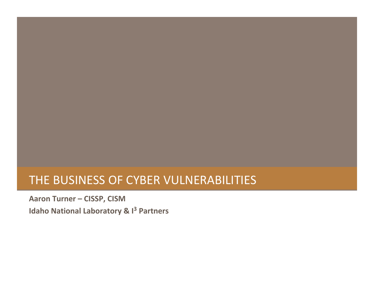## THE BUSINESS OF CYBER VULNERABILITIES

**Aaron Turner – CISSP, CISM Idaho National Laboratory & <sup>I</sup><sup>3</sup> Partners**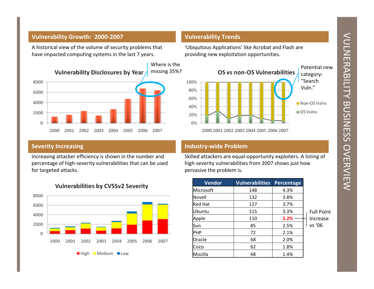# VULNERABILITY NULNER ABULITY BUSINESS OVERVIEW







| <b>Vendor</b>  | <b>Vulnerabilities</b> | Percentage |                   |
|----------------|------------------------|------------|-------------------|
| Microsoft      | 148                    | 4.3%       |                   |
| lNovell        | 132                    | 3.8%       |                   |
| <b>Red Hat</b> | 127                    | 3.7%       |                   |
| lUbuntu        | 115                    | 3.3%       | <b>Full Point</b> |
| Apple          | 110                    | 3.2%       | Increase          |
| lSun           | 85                     | 2.5%       | vs '06            |
| IPHP           | 72                     | 2.1%       |                   |
| Oracle         | 68                     | 2.0%       |                   |
| Cisco          | 62                     | 1.8%       |                   |
| Mozilla        | 48                     | 1.4%       |                   |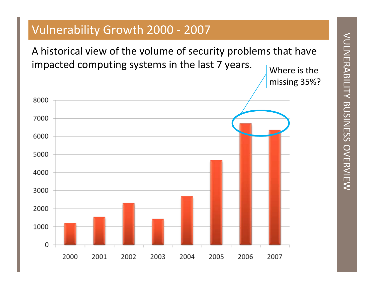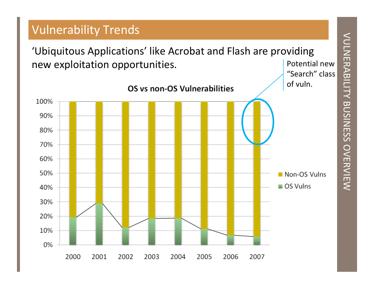VULNERABILITY VULNERABILITY BUSINESS OVERVIEW

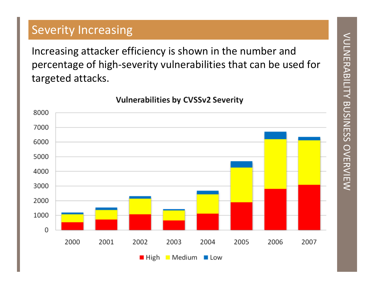# Severity Increasing<br>
Increasing attacker efficiency is shown in the number and<br>
percentage of high-severity vulnerabilities that can be used for<br>
targeted attacks.<br>
Vulnerabilities by CVSSv2 Severity<br>
3000<br>
3000<br>
3000<br>
300  $\Omega$

 $\blacksquare$  High  $\blacksquare$  Medium  $\blacksquare$  Low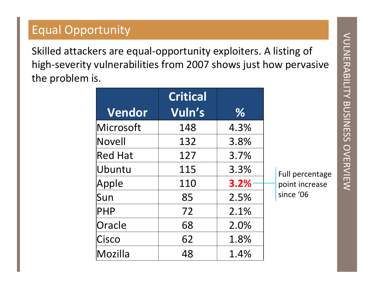| <b>Equal Opportunity</b>                                                                                                                                |                 |      |                |                                       |  |  |  |
|---------------------------------------------------------------------------------------------------------------------------------------------------------|-----------------|------|----------------|---------------------------------------|--|--|--|
| Skilled attackers are equal-opportunity exploiters. A listing of<br>high-severity vulnerabilities from 2007 shows just how pervasive<br>the problem is. |                 |      |                |                                       |  |  |  |
|                                                                                                                                                         | <b>Critical</b> |      |                | <b>NULNERABILIY BUSINESS OVERVIEW</b> |  |  |  |
| Vendor                                                                                                                                                  | Vuln's          | %    |                |                                       |  |  |  |
| Microsoft                                                                                                                                               | 148             | 4.3% |                |                                       |  |  |  |
| Novell                                                                                                                                                  | 132             | 3.8% |                |                                       |  |  |  |
| <b>Red Hat</b>                                                                                                                                          | 127             | 3.7% |                |                                       |  |  |  |
| Ubuntu                                                                                                                                                  | 115             | 3.3% |                |                                       |  |  |  |
| Apple                                                                                                                                                   | 110             | 3.2% | point increase |                                       |  |  |  |
| Sun                                                                                                                                                     | 85              | 2.5% | since '06      |                                       |  |  |  |
| PHP                                                                                                                                                     | 72              | 2.1% |                |                                       |  |  |  |
| Oracle                                                                                                                                                  | 68              | 2.0% |                |                                       |  |  |  |
| Cisco                                                                                                                                                   | 62              | 1.8% |                |                                       |  |  |  |
| Mozilla                                                                                                                                                 | 48              | 1.4% |                |                                       |  |  |  |
|                                                                                                                                                         |                 |      |                | Full percentage                       |  |  |  |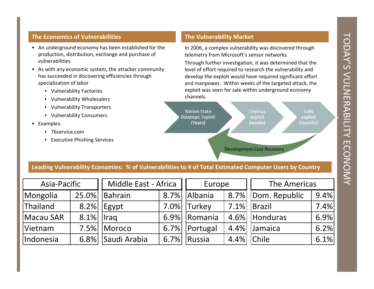- 
- -
	-
	-
	-
- -
	-



|           | Middle East - Africa<br>Asia-Pacific |                   | Europe |               | The Americas |               |      |
|-----------|--------------------------------------|-------------------|--------|---------------|--------------|---------------|------|
| Mongolia  | 25.0%                                | Bahrain           | 8.7%   | Albania       | 8.7%         | Dom. Republic | 9.4% |
| Thailand  | 8.2%                                 | Egypt             | 7.0%   | <b>Turkey</b> | 7.1%         | Brazil        | 7.4% |
| Macau SAR | $8.1\%$   Iraq                       |                   | 6.9%   | Romania       | 4.6%         | Honduras      | 6.9% |
| Vietnam   |                                      | 7.5% Moroco       | 6.7%   | Portugal      | 4.4%         | Jamaica       | 6.2% |
| Indonesia |                                      | 6.8% Saudi Arabia | 6.7%   | Russia        | 4.4%         | <b>Chile</b>  | 6.1% |